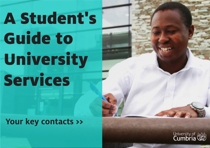# A Student's Guide to University Services

## **Your key contacts >>**



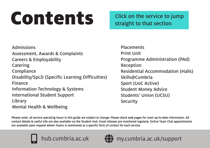# <span id="page-1-0"></span>CONTENTS Click on the service to jump

straight to that section

[Admission](#page-2-0)s [Assessment, Awards](#page-2-0) & Complaints Careers & [Employability](#page-2-0) [Catering](#page-3-0) **[Compliance](#page-3-0)** [Disability/SpLD \(Specific Learning Difficulties\)](#page-3-0) [Finance](#page-4-0) [Information Technology & Systems](#page-4-0) [International Student Support](#page-4-0) [Library](#page-5-0) [Mental Health & Wellbeing](#page-5-0)

**[Placements](#page-5-0)** [Print Unit](#page-6-0) [Programme Administration \(PAd\)](#page-6-0) [Reception](#page-6-0) [Residential Accommodation \(Halls\)](#page-7-0) [Skills@Cumbria](#page-7-0) [Sport \(UoC Active\)](#page-7-0) [Student Money Advice](#page-8-0) [Students' Union \(UCSU\)](#page-8-0) **[Security](#page-8-0)** 

[my.cumbria.ac.uk/support](https://my.cumbria.ac.uk/support)

**Please note:** all service operating hours in this guide are subject to change. Please check web pages for most up-to-date information. All contact details & useful info are also available via the Student Hub. Email inboxes are monitored regularly. Online Team Chat appointments are available upon request where Teams is mentioned as a specific form of contact for each service.

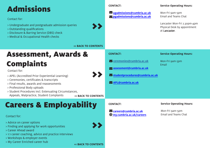# <span id="page-2-0"></span>Admissions

Contact for:

- > Undergraduate and postgraduate admission queries
- > Outstanding qualifications
- > Disclosure & Barring Service (DBS) check
- > Medical & Occupational Health checks

**CONTACT:**

 **[ugadmissions@cumbria.ac.uk](mailto:ugadmissions@cumbria.ac.uk)**  envelope  $\sim$  [pgadmissions@cumbria.ac.uk](mailto:pgadmissions@cumbria.ac.uk)

#### **Service Operating Hours:**

Mon-Fri 9am-5pm Email and Teams Chat

Lancaster Mon-Fri 2.30pm-4pm Physical Desk by appointment<br>at Lancaster. at Lancaster.

#### **[<< BACK TO CONTENTS](#page-1-0)**

### Assessment, Awards & Complaints

Contact for:

- > APEL (Accredited Prior Experiential Learning)
- > Ceremonies, certificates & transcripts
- > Final results, awards and reassessments
- > Professional Body uploads
- > Student Procedures incl. Extenuating Circumstances, Appeals, Malpractice, Student Complaints **[<< BACK TO CONTENTS](#page-1-0)**

### Careers & Employability

Contact for:

- > Advice on career options
- > Finding and applying for work opportunities
- > Career Ahead award
- > 1:1 career coaching, advice and practice interviews
- > Workshops & employer events
- > My Career Enriched career hub



>>

#### **CONTACT:**

 $\sim$  **[ceremonies@cumbria.ac.uk](mailto:ceremonies@cumbria.ac.uk)** 

- $\sim$  [assessment@cumbria.ac.uk](mailto:assessment@cumbria.ac.uk)
- $\blacksquare$ [studentprocedures@cumbria.ac.uk](mailto:studentprocedures@cumbria.ac.uk)
- **MaPL@cumbria.ac.uk**

#### **Service Operating Hours:**

Mon-Fri 9am-5pm Email

#### **CONTACT:**

 $\blacksquare$  **[careers@cumbria.ac.uk](mailto:careers@cumbria.ac.uk) [my.cumbria.ac.uk/careers](https://my.cumbria.ac.uk/careers)** globe

#### **Service Operating Hours:**

Mon-Fri 9am-5pm Email and Teams Chat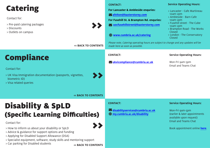<span id="page-3-0"></span>

| <b>Catering</b><br>Contact for:<br>> Pre-paid catering packages<br>> Discounts<br>> Outlets on campus                                                                                                                                                                          | <b>CONTACT:</b><br>For Lancaster & Ambleside enquries:<br>afelton@baxterstorey.com<br>For Fusehill St. & Brampton Rd. enquries:<br>vuocfusehillstreet@baxterstorey.com<br>(www.cumbria.ac.uk/catering | <b>Service Operating Hours:</b><br>> Lancaster - Cafe Martineau<br>10am-2pm<br>> Ambleside - Barn Cafe<br>10am-2pm<br>> Fusehill street - The Cube<br>10am-2pm<br>> Brampton Road - The Works<br>Closed<br>> London - The Conservatory<br>Closed |
|--------------------------------------------------------------------------------------------------------------------------------------------------------------------------------------------------------------------------------------------------------------------------------|-------------------------------------------------------------------------------------------------------------------------------------------------------------------------------------------------------|--------------------------------------------------------------------------------------------------------------------------------------------------------------------------------------------------------------------------------------------------|
| <b>&lt;&lt; BACK TO CONTENTS</b>                                                                                                                                                                                                                                               | Please note, Catering operating hours are subject to change and any updates will be<br>made here as soon as possible.                                                                                 |                                                                                                                                                                                                                                                  |
| <b>Compliance</b><br>Contact for:<br>$\blacktriangleright$<br>> UK Visa Immigration documentation (passports, vignettes,<br>biometric ID)<br>> Visa related queries<br><b>&lt;&lt; BACK TO CONTENTS</b>                                                                        | <b>CONTACT:</b><br>Vukvicompliance@cumbria.ac.uk                                                                                                                                                      | <b>Service Operating Hours:</b><br>Mon-Fri gam-5pm<br><b>Email and Teams Chat</b>                                                                                                                                                                |
| <b>Disability &amp; SpLD</b><br><b>(Specific Learning Difficulties)</b><br>Contact for:<br>$\blacktriangleright$<br>> How to inform us about your disability or SpLD<br>> Advice & guidance for support options and funding<br>> Applying for Disabled Support Allowance (DSA) | <b>CONTACT:</b><br>$\blacksquare$ disabilityservices@cumbria.ac.uk<br>(www.cumbria.ac.uk/disability                                                                                                   | <b>Service Operating Hours:</b><br>Mon-Fri gam-5pm<br>(earlier & later appointments<br>available upon request)<br><b>Email and Teams Chat</b><br>Book appointment online here.                                                                   |

- > Specialist equipment, software, study skills and mentoring support
- > Car parking for Disabled students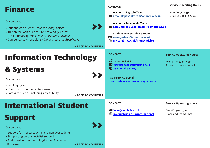### <span id="page-4-0"></span>Finance

Contact for:

> Student loan queries - talk to Money Advice

- > Tuition fee loan queries talk to Money Advice
- > PGCE Bursary queries talk to Accounts Payable
- > Course fee payment plans talk to Accounts Receivable

**[<< BACK TO CONTENTS](#page-1-0)**

# Information Technology

# & Systems

Contact for:

> Log in queries

> IT support including laptop loans

> Software queries including accessibility

**[<< BACK TO CONTENTS](#page-1-0)**

**[<< BACK TO CONTENTS](#page-1-0)**

# International Student

# Support

Contact for:

- > Support for Tier 4 students and non UK students
- > Signposting on to specialist support
- > Additional support with English for Academic Purposes

**CONTACT:**

**Accounts Payable Team: [accountspayableteam@cumbria.ac.uk](mailto:accountspayableteam@cumbria.ac.uk)**

**[Accounts Receivable](https://my.cumbria.ac.uk/it) Team:**  $\blacktriangleright$  [accountsreceiveableteam@cumbria.ac.uk](mailto:accountsreceiveableteam@cumbria.ac.uk)

**Student Money Advice Team:**   $\sum$  **[moneyadvice@cumbria.ac.uk](mailto:moneyadvice@cumbria.ac.uk) (**) [my.cumbria.ac.uk/moneyadvice](https://my.cumbria.ac.uk/moneyadvice)

#### **CONTACT:**

 **01228 888888**  phone  $\blacksquare$ itservicedesk@cumbria.ac.uk  **[my.cumbria.ac.uk/it](https://my.cumbria.ac.uk/it)** globe

**Self-service portal: [servicedesk.cumbria.ac.uk/rsdportal](https://servicedesk.cumbria.ac.uk/rsdportal)**

#### **Service Operating Hours:**

Mon-Fri 8:30am-5pm Phone, online and email

#### **CONTACT:**

 **[intss@cumbria.ac.uk](mailto:intss@cumbria.ac.uk)** envelope  **[my.cumbria.ac.uk/international](https://my.cumbria.ac.uk/international)** globe **Service Operating Hours:**

Mon-Fri 9am-5pm Email and Teams Chat



#### **Service Operating Hours:**

Mon-Fri 9am-5pm Email and Teams Chat



>>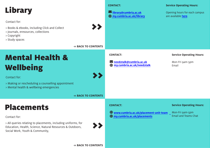<span id="page-5-0"></span>

| <b>Library</b><br>Contact for:<br>$\blacktriangleright\blacktriangleright$<br>> Books & ebooks, including Click and Collect<br>> Journals, eresources, collections<br>> Copyright<br>> Study spaces                          | <b>CONTACT:</b><br>ibrary@cumbria.ac.uk<br>(www.cumbria.ac.uk/library                      | <b>Service Operating Hours:</b><br>Opening hours for each campus<br>are available here. |
|------------------------------------------------------------------------------------------------------------------------------------------------------------------------------------------------------------------------------|--------------------------------------------------------------------------------------------|-----------------------------------------------------------------------------------------|
| <b>&lt;&lt; BACK TO CONTENTS</b>                                                                                                                                                                                             |                                                                                            |                                                                                         |
| <b>Mental Health &amp;</b><br><b>Wellbeing</b><br>$\blacktriangleright$<br>Contact for:<br>> Making or rescheduling a counselling appointment<br>> Mental health & wellbeing emergencies<br><b>&lt;&lt; BACK TO CONTENTS</b> | <b>CONTACT:</b><br>Meed2talk@cumbria.ac.uk<br>() my.cumbria.ac.uk/need2talk                | <b>Service Operating Hours:</b><br>Mon-Fri 9am-5pm<br>Email                             |
| <b>Placements</b><br>Contact for:<br>> All queries relating to placements, including uniforms, for<br>Education, Health, Science, Natural Resources & Outdoors,<br>Social Work, Youth & Community,                           | <b>CONTACT:</b><br>Www.cumbria.ac.uk/placement-unit-team<br>() my.cumbria.ac.uk/placements | <b>Service Operating Hours:</b><br>Mon-Fri gam-5pm<br><b>Email and Teams Chat</b>       |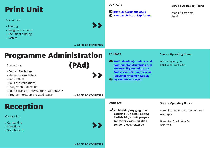# <span id="page-6-0"></span>Print Unit

Contact for:

- > Printing
- > Design and artwork
- > Document binding
- > Posters

#### **CONTACT:**

**CONTACT:**

 $\bigoplus$ 

 $\blacksquare$  print.unit@cumbria.ac.uk **www.cumbria.ac.uk/printunit** >>globe

 **[PAdAmbleside@cumbria.ac.uk](mailto:PAdAmbleside@cumbria.ac.uk)** envelope

**[PAdBrampton@cumbria.ac.uk](mailto:PAdBrampton@cumbria.ac.uk) [PAdFusehill@cumbria.ac.uk](mailto:PAdFusehill@cumbria.ac.uk) [PAdLancaster@cumbria.ac.uk](mailto:PAdLancaster@cumbria.ac.uk) [PAdLondon@cumbria.ac.uk](mailto:PAdLondon@cumbria.ac.uk)** >> **[my.cumbria.ac.uk/pad](https://my.cumbria.ac.uk/pad)**

**Service Operating Hours:**

Mon-Fri 9am-3pm Email

#### **[<< BACK TO CONTENTS](#page-1-0)**

(PAd)

### Programme Administration

Contact for:

- > Council Tax letters
- > Student status letters
- > Bank letters
- > Rail Card Validations
- > Assignment Collection
- > Course transfer, intercalation, withdrawals
- > Programme/Course related issues

**[<< BACK TO CONTENTS](#page-1-0)**

## Reception

Contact for:

- > Car parking
- > Directions
- > Switchboard



#### **CONTACT:**

*J* [Ambleside / 01539 430274](mailto:lancasteraccom@cumbria.ac.uk)  **Carlisle FHS / 01228 616234 Carlisle BR / 01228 400300 [Lancaster / 01524 590800](mailto:carlisleaccom@cumbria.ac.uk) London / 0207 5174800**

#### **Service Operating Hours:**

Mon-Fri 9am-5pm Email and Team Chat

#### **Service Operating Hours:**

Fusehill Street & Lancaster: Mon-Fri 9am-4pm

Brampton Road: Mon-Fri 9am-2pm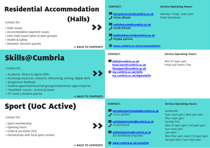<span id="page-7-0"></span>

| <b>Residential Accommodation</b><br>(Halls)<br>Contact for:<br>> Halls issues<br>> Accommodation payment issues<br>> Inter-halls issues (peer to peer groups)<br>> Health & Safety<br>> Domestic Services queries<br><b>« BACK TO CONTENTS</b><br><b>Skills@Cumbria</b><br>Contact for:<br>$\boldsymbol{\Sigma}$<br>> Academic, library & digital skills<br>> Accessing resources, research, referencing, writing, digital skills<br>> Assignment feedback<br>> Student appointments/small group/resubmission appt enquiries<br>> 'HeadStart' course - technical issues<br>> IFY Level 3 student queries<br><b>« BACK TO CONTENTS</b> | <b>CONTACT:</b><br>Mancasteraccom@cumbria.ac.uk<br>$J$ 01524 385497<br><b>Z</b> carlisleaccom@cumbria.ac.uk<br>$J$ 01228 616206<br>Mamblesideaccom@cumbria.ac.uk<br><b>J</b> 015394 430224<br>() www.cumbria.ac.uk/accommodation<br><b>CONTACT:</b><br>Skills@cumbria.ac.uk<br>head.start@cumbria.ac.uk<br>ifysupport@cumbria.ac.uk<br>(www.cumbria.ac.uk/skills<br>my.cumbria.ac.uk/digitalskills | <b>Service Operating Hours:</b><br>Monday- Friday: 10am-2pm<br><b>Email and phone</b><br><b>Service Operating Hours:</b><br>Mon-Fri 9am-5pm<br><b>Email and Teams Chat</b>                 |
|---------------------------------------------------------------------------------------------------------------------------------------------------------------------------------------------------------------------------------------------------------------------------------------------------------------------------------------------------------------------------------------------------------------------------------------------------------------------------------------------------------------------------------------------------------------------------------------------------------------------------------------|----------------------------------------------------------------------------------------------------------------------------------------------------------------------------------------------------------------------------------------------------------------------------------------------------------------------------------------------------------------------------------------------------|--------------------------------------------------------------------------------------------------------------------------------------------------------------------------------------------|
| <b>Sport (UoC Active)</b><br>Contact for:<br>> Sport membership<br>> Opening hours<br>> Clubs & Socieities (SU)<br>> Partnerships with local sport centres                                                                                                                                                                                                                                                                                                                                                                                                                                                                            | <b>CONTACT:</b><br><u><b>M</b>lancastersportcomplex@cumbria.ac.uk</u><br>301524590840<br><u><b>Searlislesportcentre@cumbria.ac.uk</b></u><br>01228 616006<br>$\blacktriangleright$ amblesideactive@cumbria.ac.uk<br>(for Ambleside enquiries)                                                                                                                                                      | <b>Service Operating Hours:</b><br>Ambleside:<br>Tues 10am-3pm $\vert$ Wed 2pm-7pm<br>Thur 10am-3pm<br><b>Carlisle FHS:</b><br>Mon-Fri 9am-9pm   Sat 9am-5pm<br>Sun 10am-2pm<br>Lancaster: |
|                                                                                                                                                                                                                                                                                                                                                                                                                                                                                                                                                                                                                                       | (c) www.cumbria.ac.uk/uocactive                                                                                                                                                                                                                                                                                                                                                                    | Mon-Thur 9am-10pm   Fri 9am-9pm<br>Sat gam-7pm   Sun 10am-2pm                                                                                                                              |